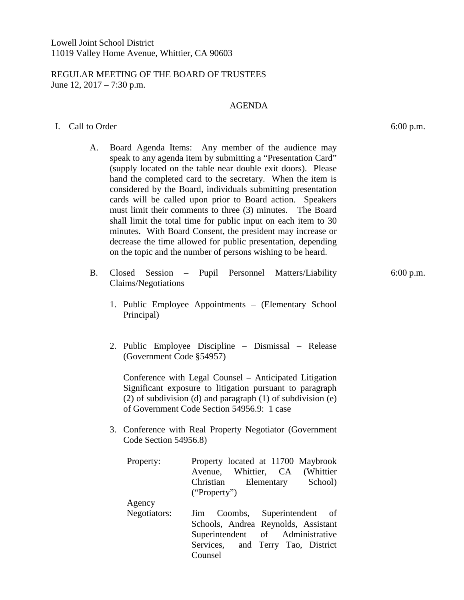## REGULAR MEETING OF THE BOARD OF TRUSTEES June 12, 2017 – 7:30 p.m.

## AGENDA

## I. Call to Order 6:00 p.m.

- A. Board Agenda Items: Any member of the audience may speak to any agenda item by submitting a "Presentation Card" (supply located on the table near double exit doors). Please hand the completed card to the secretary. When the item is considered by the Board, individuals submitting presentation cards will be called upon prior to Board action. Speakers must limit their comments to three (3) minutes. The Board shall limit the total time for public input on each item to 30 minutes. With Board Consent, the president may increase or decrease the time allowed for public presentation, depending on the topic and the number of persons wishing to be heard.
- B. Closed Session Pupil Personnel Matters/Liability Claims/Negotiations
	- 1. Public Employee Appointments (Elementary School Principal)
	- 2. Public Employee Discipline Dismissal Release (Government Code §54957)

Conference with Legal Counsel – Anticipated Litigation Significant exposure to litigation pursuant to paragraph (2) of subdivision (d) and paragraph (1) of subdivision (e) of Government Code Section 54956.9: 1 case

3. Conference with Real Property Negotiator (Government Code Section 54956.8)

| Property:    | Property located at 11700 Maybrook  |
|--------------|-------------------------------------|
|              | Avenue, Whittier, CA (Whittier      |
|              | Christian Elementary School)        |
|              | ("Property")                        |
| Agency       |                                     |
| Negotiators: | Jim Coombs, Superintendent of       |
|              | Schools, Andrea Reynolds, Assistant |
|              | Superintendent of Administrative    |
|              |                                     |
|              | Services, and Terry Tao, District   |

6:00 p.m.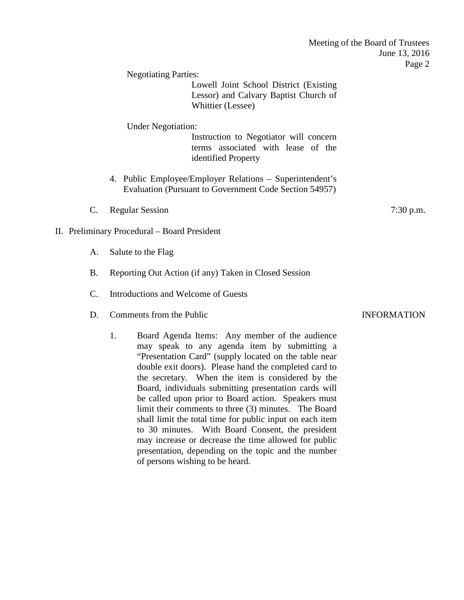|                 |                                              |                                                                                                                                                                                                                                                                                                                                | Meeting of the Board of Trustees<br>June 13, 2016<br>Page 2 |
|-----------------|----------------------------------------------|--------------------------------------------------------------------------------------------------------------------------------------------------------------------------------------------------------------------------------------------------------------------------------------------------------------------------------|-------------------------------------------------------------|
|                 | <b>Negotiating Parties:</b>                  |                                                                                                                                                                                                                                                                                                                                |                                                             |
|                 |                                              | Lowell Joint School District (Existing<br>Lessor) and Calvary Baptist Church of<br>Whittier (Lessee)                                                                                                                                                                                                                           |                                                             |
|                 | <b>Under Negotiation:</b>                    | Instruction to Negotiator will concern<br>terms associated with lease of the<br>identified Property                                                                                                                                                                                                                            |                                                             |
|                 |                                              | 4. Public Employee/Employer Relations - Superintendent's<br>Evaluation (Pursuant to Government Code Section 54957)                                                                                                                                                                                                             |                                                             |
| $\mathcal{C}$ . | <b>Regular Session</b>                       |                                                                                                                                                                                                                                                                                                                                | 7:30 p.m.                                                   |
|                 | II. Preliminary Procedural – Board President |                                                                                                                                                                                                                                                                                                                                |                                                             |
| A.              | Salute to the Flag                           |                                                                                                                                                                                                                                                                                                                                |                                                             |
| <b>B.</b>       |                                              | Reporting Out Action (if any) Taken in Closed Session                                                                                                                                                                                                                                                                          |                                                             |
| C.              | Introductions and Welcome of Guests          |                                                                                                                                                                                                                                                                                                                                |                                                             |
| D.              | Comments from the Public                     |                                                                                                                                                                                                                                                                                                                                | <b>INFORMATION</b>                                          |
|                 | 1.                                           | Board Agenda Items: Any member of the audience<br>may speak to any agenda item by submitting a<br>"Presentation Card" (supply located on the table near<br>double exit doors). Please hand the completed card to<br>the secretary. When the item is considered by the<br>Board, individuals submitting presentation cards will |                                                             |

be called upon prior to Board action. Speakers must limit their comments to three (3) minutes. The Board shall limit the total time for public input on each item to 30 minutes. With Board Consent, the president may increase or decrease the time allowed for public presentation, depending on the topic and the number

of persons wishing to be heard.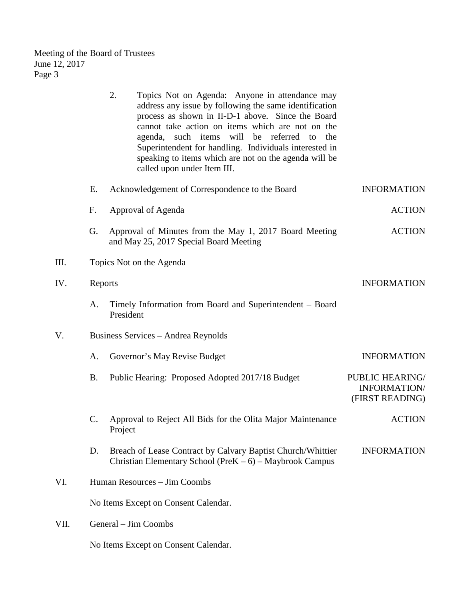Meeting of the Board of Trustees June 12, 2017 Page 3

|      |                          | 2.        | Topics Not on Agenda: Anyone in attendance may<br>address any issue by following the same identification<br>process as shown in II-D-1 above. Since the Board<br>cannot take action on items which are not on the<br>such items<br>will<br>be<br>referred<br>agenda,<br>to<br>the<br>Superintendent for handling. Individuals interested in<br>speaking to items which are not on the agenda will be<br>called upon under Item III. |                                                    |
|------|--------------------------|-----------|-------------------------------------------------------------------------------------------------------------------------------------------------------------------------------------------------------------------------------------------------------------------------------------------------------------------------------------------------------------------------------------------------------------------------------------|----------------------------------------------------|
|      | E.                       |           | Acknowledgement of Correspondence to the Board                                                                                                                                                                                                                                                                                                                                                                                      | <b>INFORMATION</b>                                 |
|      | F.                       |           | Approval of Agenda                                                                                                                                                                                                                                                                                                                                                                                                                  | <b>ACTION</b>                                      |
|      | G.                       |           | Approval of Minutes from the May 1, 2017 Board Meeting<br>and May 25, 2017 Special Board Meeting                                                                                                                                                                                                                                                                                                                                    | <b>ACTION</b>                                      |
| III. | Topics Not on the Agenda |           |                                                                                                                                                                                                                                                                                                                                                                                                                                     |                                                    |
| IV.  |                          | Reports   |                                                                                                                                                                                                                                                                                                                                                                                                                                     | <b>INFORMATION</b>                                 |
|      | A.                       | President | Timely Information from Board and Superintendent - Board                                                                                                                                                                                                                                                                                                                                                                            |                                                    |
| V.   |                          |           | Business Services - Andrea Reynolds                                                                                                                                                                                                                                                                                                                                                                                                 |                                                    |
|      | A.                       |           | Governor's May Revise Budget                                                                                                                                                                                                                                                                                                                                                                                                        | <b>INFORMATION</b>                                 |
|      | <b>B.</b>                |           | Public Hearing: Proposed Adopted 2017/18 Budget                                                                                                                                                                                                                                                                                                                                                                                     | PUBLIC HEARING/<br>INFORMATION/<br>(FIRST READING) |
|      | C.                       | Project   | Approval to Reject All Bids for the Olita Major Maintenance                                                                                                                                                                                                                                                                                                                                                                         | <b>ACTION</b>                                      |
|      | D.                       |           | Breach of Lease Contract by Calvary Baptist Church/Whittier<br>Christian Elementary School (Pre $K - 6$ ) – Maybrook Campus                                                                                                                                                                                                                                                                                                         | <b>INFORMATION</b>                                 |
| VI.  |                          |           | Human Resources - Jim Coombs                                                                                                                                                                                                                                                                                                                                                                                                        |                                                    |
|      |                          |           | No Items Except on Consent Calendar.                                                                                                                                                                                                                                                                                                                                                                                                |                                                    |
| VII. |                          |           | General – Jim Coombs                                                                                                                                                                                                                                                                                                                                                                                                                |                                                    |

No Items Except on Consent Calendar.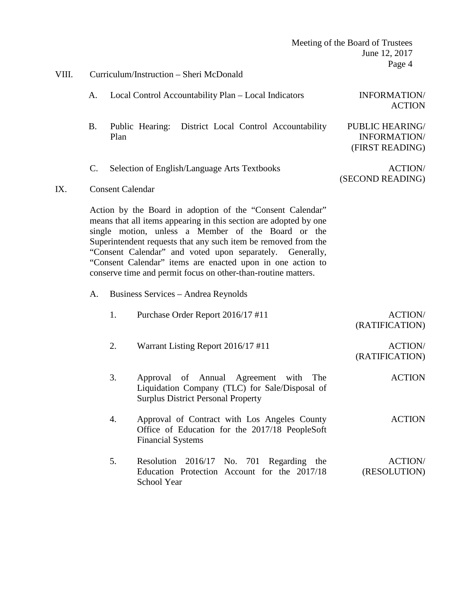|       |           | Meeting of the Board of Trustees |                                                                                                                                                                                                                                                                                                                                                                                                                                                   |                                                    |
|-------|-----------|----------------------------------|---------------------------------------------------------------------------------------------------------------------------------------------------------------------------------------------------------------------------------------------------------------------------------------------------------------------------------------------------------------------------------------------------------------------------------------------------|----------------------------------------------------|
|       |           |                                  |                                                                                                                                                                                                                                                                                                                                                                                                                                                   | June 12, 2017                                      |
|       |           |                                  |                                                                                                                                                                                                                                                                                                                                                                                                                                                   | Page 4                                             |
| VIII. |           |                                  | Curriculum/Instruction – Sheri McDonald                                                                                                                                                                                                                                                                                                                                                                                                           |                                                    |
|       | А.        |                                  | Local Control Accountability Plan - Local Indicators                                                                                                                                                                                                                                                                                                                                                                                              | INFORMATION/<br><b>ACTION</b>                      |
|       | <b>B.</b> | Plan                             | Public Hearing: District Local Control Accountability                                                                                                                                                                                                                                                                                                                                                                                             | PUBLIC HEARING/<br>INFORMATION/<br>(FIRST READING) |
| IX.   | C.        |                                  | Selection of English/Language Arts Textbooks<br><b>Consent Calendar</b>                                                                                                                                                                                                                                                                                                                                                                           | ACTION/<br>(SECOND READING)                        |
|       |           |                                  |                                                                                                                                                                                                                                                                                                                                                                                                                                                   |                                                    |
|       |           |                                  | Action by the Board in adoption of the "Consent Calendar"<br>means that all items appearing in this section are adopted by one<br>single motion, unless a Member of the Board or the<br>Superintendent requests that any such item be removed from the<br>"Consent Calendar" and voted upon separately. Generally,<br>"Consent Calendar" items are enacted upon in one action to<br>conserve time and permit focus on other-than-routine matters. |                                                    |
|       | A.        |                                  | Business Services - Andrea Reynolds                                                                                                                                                                                                                                                                                                                                                                                                               |                                                    |
|       |           | 1.                               | Purchase Order Report 2016/17 #11                                                                                                                                                                                                                                                                                                                                                                                                                 | <b>ACTION/</b><br>(RATIFICATION)                   |
|       |           | 2.                               | Warrant Listing Report 2016/17 #11                                                                                                                                                                                                                                                                                                                                                                                                                | <b>ACTION/</b><br>(RATIFICATION)                   |
|       |           | 3.                               | Approval of Annual Agreement with<br>The<br>Liquidation Company (TLC) for Sale/Disposal of<br><b>Surplus District Personal Property</b>                                                                                                                                                                                                                                                                                                           | <b>ACTION</b>                                      |
|       |           | 4.                               | Approval of Contract with Los Angeles County<br>Office of Education for the 2017/18 PeopleSoft<br><b>Financial Systems</b>                                                                                                                                                                                                                                                                                                                        | <b>ACTION</b>                                      |
|       |           | 5.                               | Resolution 2016/17 No. 701 Regarding the<br>Education Protection Account for the 2017/18<br>School Year                                                                                                                                                                                                                                                                                                                                           | <b>ACTION/</b><br>(RESOLUTION)                     |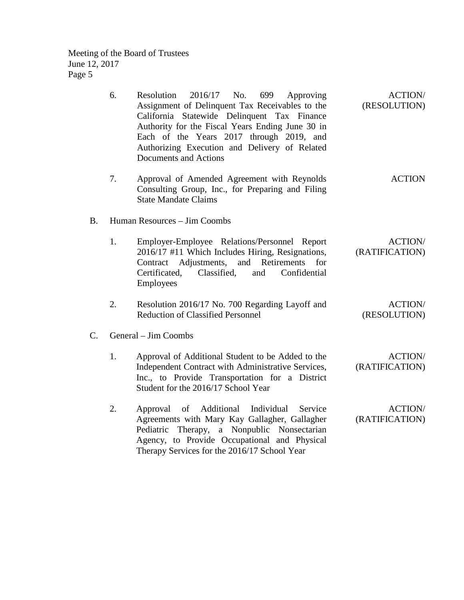Meeting of the Board of Trustees June 12, 2017 Page 5

| 6.              | $2016/17$ No.<br>Resolution<br>699<br>Approving<br>Assignment of Delinquent Tax Receivables to the<br>California Statewide Delinquent Tax Finance<br>Authority for the Fiscal Years Ending June 30 in<br>Each of the Years 2017 through 2019, and<br>Authorizing Execution and Delivery of Related<br>Documents and Actions | <b>ACTION/</b><br>(RESOLUTION)   |  |  |
|-----------------|-----------------------------------------------------------------------------------------------------------------------------------------------------------------------------------------------------------------------------------------------------------------------------------------------------------------------------|----------------------------------|--|--|
| 7.              | Approval of Amended Agreement with Reynolds<br>Consulting Group, Inc., for Preparing and Filing<br><b>State Mandate Claims</b>                                                                                                                                                                                              | <b>ACTION</b>                    |  |  |
| <b>B.</b>       | Human Resources - Jim Coombs                                                                                                                                                                                                                                                                                                |                                  |  |  |
| 1.              | Employer-Employee Relations/Personnel Report<br>2016/17 #11 Which Includes Hiring, Resignations,<br>Contract Adjustments,<br>and Retirements<br>for<br>Certificated, Classified,<br>Confidential<br>and<br>Employees                                                                                                        | <b>ACTION/</b><br>(RATIFICATION) |  |  |
| 2.              | Resolution 2016/17 No. 700 Regarding Layoff and<br><b>Reduction of Classified Personnel</b>                                                                                                                                                                                                                                 | <b>ACTION/</b><br>(RESOLUTION)   |  |  |
| $\mathcal{C}$ . | General – Jim Coombs                                                                                                                                                                                                                                                                                                        |                                  |  |  |
| 1.              | Approval of Additional Student to be Added to the<br>Independent Contract with Administrative Services,<br>Inc., to Provide Transportation for a District<br>Student for the 2016/17 School Year                                                                                                                            | <b>ACTION/</b><br>(RATIFICATION) |  |  |
| 2.              | Additional<br>Individual<br>Service<br>Approval<br>of<br>Agreements with Mary Kay Gallagher, Gallagher<br>Pediatric Therapy, a Nonpublic Nonsectarian<br>Agency, to Provide Occupational and Physical<br>Therapy Services for the 2016/17 School Year                                                                       | <b>ACTION/</b><br>(RATIFICATION) |  |  |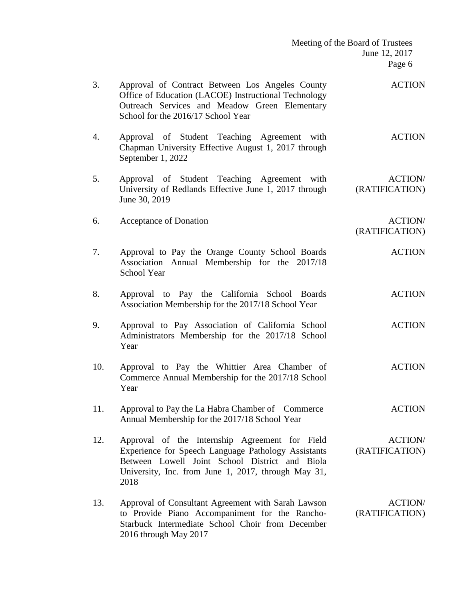|     | Meeting of the Board of Trustees                                                                                                                                                                                       |                                   |
|-----|------------------------------------------------------------------------------------------------------------------------------------------------------------------------------------------------------------------------|-----------------------------------|
|     |                                                                                                                                                                                                                        | June 12, 2017                     |
|     |                                                                                                                                                                                                                        | Page 6                            |
| 3.  | Approval of Contract Between Los Angeles County<br>Office of Education (LACOE) Instructional Technology<br>Outreach Services and Meadow Green Elementary<br>School for the 2016/17 School Year                         | <b>ACTION</b>                     |
| 4.  | Approval of Student Teaching Agreement with<br>Chapman University Effective August 1, 2017 through<br>September 1, 2022                                                                                                | <b>ACTION</b>                     |
| 5.  | Approval of Student Teaching Agreement with<br>University of Redlands Effective June 1, 2017 through<br>June 30, 2019                                                                                                  | <b>ACTION/</b><br>(RATIFICATION)  |
| 6.  | Acceptance of Donation                                                                                                                                                                                                 | <b>ACTION/</b><br>(RATIFICATION)  |
| 7.  | Approval to Pay the Orange County School Boards<br>Association Annual Membership for the 2017/18<br><b>School Year</b>                                                                                                 | <b>ACTION</b>                     |
| 8.  | Approval to Pay the California School Boards<br>Association Membership for the 2017/18 School Year                                                                                                                     | <b>ACTION</b>                     |
| 9.  | Approval to Pay Association of California School<br>Administrators Membership for the 2017/18 School<br>Year                                                                                                           | <b>ACTION</b>                     |
| 10. | Approval to Pay the Whittier Area Chamber of<br>Commerce Annual Membership for the 2017/18 School<br>Year                                                                                                              | <b>ACTION</b>                     |
| 11. | Approval to Pay the La Habra Chamber of Commerce<br>Annual Membership for the 2017/18 School Year                                                                                                                      | <b>ACTION</b>                     |
| 12. | Approval of the Internship Agreement for Field<br>Experience for Speech Language Pathology Assistants<br>Between Lowell Joint School District and Biola<br>University, Inc. from June 1, 2017, through May 31,<br>2018 | <b>ACTION/</b><br>(RATIFICATION)  |
| 13. | Approval of Consultant Agreement with Sarah Lawson<br>to Provide Piano Accompaniment for the Rancho-<br>Starbuck Intermediate School Choir from December<br>2016 through May 2017                                      | <b>ACTION</b> /<br>(RATIFICATION) |